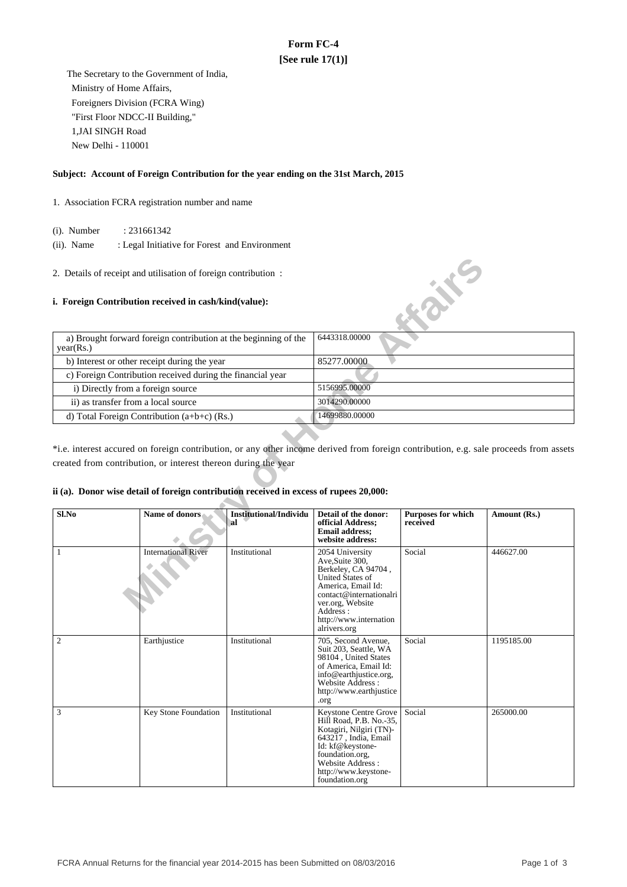## **Form FC-4 [See rule 17(1)]**

 The Secretary to the Government of India, Ministry of Home Affairs, Foreigners Division (FCRA Wing) "First Floor NDCC-II Building," 1,JAI SINGH Road New Delhi - 110001

### **Subject: Account of Foreign Contribution for the year ending on the 31st March, 2015**

- 1. Association FCRA registration number and name
	- (i). Number : 231661342
	- (ii). Name : Legal Initiative for Forest and Environment
- 2. Details of receipt and utilisation of foreign contribution :

#### **i. Foreign Contribution received in cash/kind(value):**



\*i.e. interest accured on foreign contribution, or any other income derived from foreign contribution, e.g. sale proceeds from assets created from contribution, or interest thereon during the year

### **ii (a). Donor wise detail of foreign contribution received in excess of rupees 20,000:**

| Sl.No          | Name of donors             | <b>Institutional/Individu</b><br>al | Detail of the donor:<br>official Address;<br><b>Email address;</b><br>website address:                                                                                                                      | <b>Purposes for which</b><br>received | Amount (Rs.) |
|----------------|----------------------------|-------------------------------------|-------------------------------------------------------------------------------------------------------------------------------------------------------------------------------------------------------------|---------------------------------------|--------------|
| 1              | <b>International River</b> | Institutional                       | 2054 University<br>Ave, Suite 300,<br>Berkeley, CA 94704,<br>United States of<br>America, Email Id:<br>contact@internationalri<br>ver.org, Website<br>Address:<br>http://www.internation<br>alrivers.org    | Social                                | 446627.00    |
| $\overline{c}$ | Earthjustice               | Institutional                       | 705, Second Avenue,<br>Suit 203, Seattle, WA<br>98104, United States<br>of America, Email Id:<br>info@earthjustice.org,<br>Website Address:<br>http://www.earthjustice<br>.org                              | Social                                | 1195185.00   |
| 3              | Key Stone Foundation       | Institutional                       | Keystone Centre Grove<br>Hill Road, P.B. No.-35,<br>Kotagiri, Nilgiri (TN)-<br>$643217$ , India, Email<br>Id: kf@keystone-<br>foundation.org,<br>Website Address:<br>http://www.keystone-<br>foundation.org | Social                                | 265000.00    |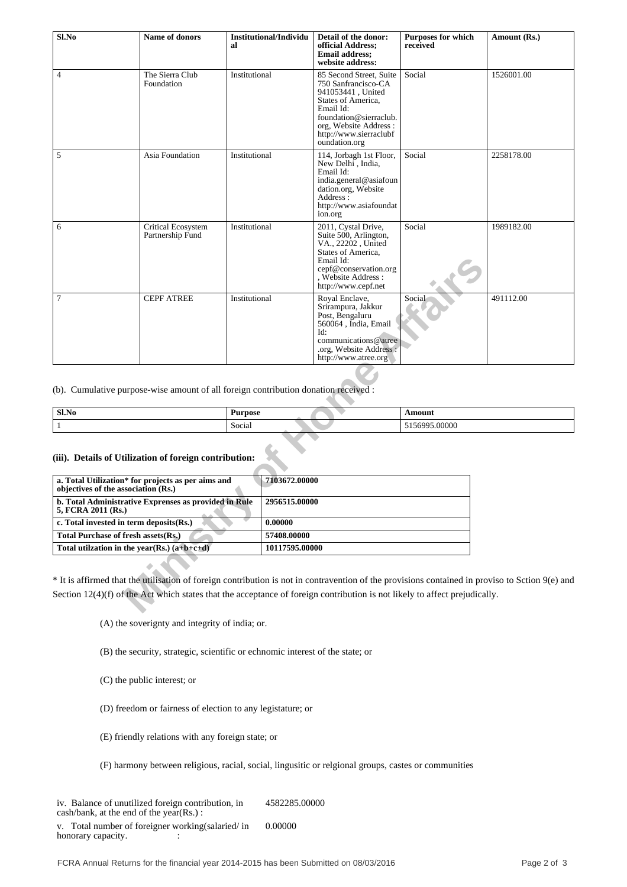| Sl.No                                                                                         | Name of donors                                                                                              | al            | <b>Institutional/Individu</b>  | Detail of the donor:<br>official Address;<br><b>Email address;</b><br>website address:                                                                                                               | <b>Purposes for which</b><br>received | Amount (Rs.)                                                                                                                                    |  |
|-----------------------------------------------------------------------------------------------|-------------------------------------------------------------------------------------------------------------|---------------|--------------------------------|------------------------------------------------------------------------------------------------------------------------------------------------------------------------------------------------------|---------------------------------------|-------------------------------------------------------------------------------------------------------------------------------------------------|--|
| 4                                                                                             | The Sierra Club<br>Foundation                                                                               | Institutional |                                | 85 Second Street, Suite<br>750 Sanfrancisco-CA<br>941053441, United<br>States of America,<br>Email Id:<br>foundation@sierraclub.<br>org, Website Address:<br>http://www.sierraclubf<br>oundation.org | Social                                | 1526001.00                                                                                                                                      |  |
| 5                                                                                             | Asia Foundation                                                                                             | Institutional |                                | 114, Jorbagh 1st Floor,<br>New Delhi <sup>,</sup> India,<br>Email Id:<br>india.general@asiafoun<br>dation.org, Website<br>Address:<br>http://www.asiafoundat<br>ion.org                              | Social                                | 2258178.00                                                                                                                                      |  |
| 6                                                                                             | Critical Ecosystem<br>Partnership Fund                                                                      | Institutional |                                | 2011, Cystal Drive,<br>Suite 500, Arlington,<br>VA., 22202, United<br>States of America,<br>Email Id:<br>cepf@conservation.org<br>, Website Address :<br>http://www.cepf.net                         | Social                                | 1989182.00                                                                                                                                      |  |
| 7                                                                                             | <b>CEPF ATREE</b>                                                                                           | Institutional |                                | Royal Enclave,<br>Srirampura, Jakkur<br>Post, Bengaluru<br>560064, India, Email<br>Id:<br>communications@atree<br>.org, Website Address:<br>http://www.atree.org                                     | Social                                | 491112.00                                                                                                                                       |  |
| (b). Cumulative purpose-wise amount of all foreign contribution donation received :           |                                                                                                             |               |                                |                                                                                                                                                                                                      |                                       |                                                                                                                                                 |  |
| $Sl$ . No<br><b>Purpose</b>                                                                   |                                                                                                             |               |                                | Amount                                                                                                                                                                                               |                                       |                                                                                                                                                 |  |
| $\mathbf{1}$                                                                                  |                                                                                                             | Social        |                                |                                                                                                                                                                                                      | 5156995.00000                         |                                                                                                                                                 |  |
| (iii). Details of Utilization of foreign contribution:<br>objectives of the association (Rs.) | a. Total Utilization* for projects as per aims and<br>b. Total Administrative Exprenses as provided in Rule |               | 7103672.00000<br>2956515.00000 |                                                                                                                                                                                                      |                                       |                                                                                                                                                 |  |
| 5, FCRA 2011 (Rs.)                                                                            |                                                                                                             |               | 0.00000                        |                                                                                                                                                                                                      |                                       |                                                                                                                                                 |  |
| c. Total invested in term deposits(Rs.)<br><b>Total Purchase of fresh assets(Rs.)</b>         |                                                                                                             |               | 57408.00000                    |                                                                                                                                                                                                      |                                       |                                                                                                                                                 |  |
| Total utilzation in the year(Rs.) $(a+b+c+d)$                                                 |                                                                                                             |               | 10117595.00000                 |                                                                                                                                                                                                      |                                       |                                                                                                                                                 |  |
|                                                                                               |                                                                                                             |               |                                | Section 12(4)(f) of the Act which states that the acceptance of foreign contribution is not likely to affect prejudically.                                                                           |                                       | * It is affirmed that the utilisation of foreign contribution is not in contravention of the provisions contained in proviso to Sction 9(e) and |  |
|                                                                                               |                                                                                                             |               |                                |                                                                                                                                                                                                      |                                       |                                                                                                                                                 |  |

| Sl.No | $\overline{\phantom{a}}$<br>Purpose | \m∩III        |
|-------|-------------------------------------|---------------|
|       | $\sim$<br>Social                    | nnnn<br>.UUUU |

# **(iii). Details of Utilization of foreign contribution:**

| a. Total Utilization* for projects as per aims and<br>objectives of the association (Rs.) | 7103672.00000  |
|-------------------------------------------------------------------------------------------|----------------|
| b. Total Administrative Exprenses as provided in Rule<br>5, FCRA 2011 (Rs.)               | 2956515.00000  |
| c. Total invested in term deposits (Rs.)                                                  | 0.00000        |
| Total Purchase of fresh assets (Rs.)                                                      | 57408.00000    |
| Total utilization in the year(Rs.) $(a+b+c+d)$                                            | 10117595.00000 |

(A) the soverignty and integrity of india; or.

(B) the security, strategic, scientific or echnomic interest of the state; or

(C) the public interest; or

(D) freedom or fairness of election to any legistature; or

(E) friendly relations with any foreign state; or

(F) harmony between religious, racial, social, lingusitic or relgional groups, castes or communities

iv. Balance of unutilized foreign contribution, in cash/bank, at the end of the year(Rs.) : 4582285.00000

v. Total number of foreigner working(salaried/ in honorary capacity.  $\qquad \qquad$  : 0.00000